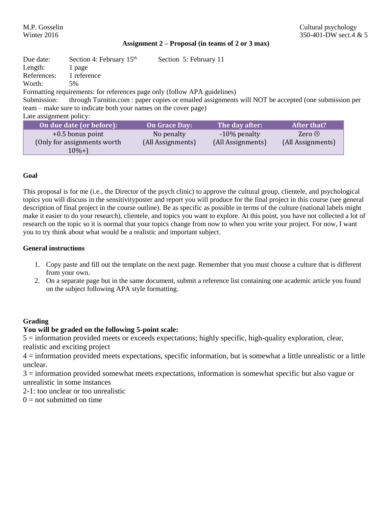### **Assignment 2 – Proposal (in teams of 2 or 3 max)**

| Due date:                                                                                                          | Section 4: February $15th$                                                | Section 5: February 11 |                   |                    |  |
|--------------------------------------------------------------------------------------------------------------------|---------------------------------------------------------------------------|------------------------|-------------------|--------------------|--|
| Length:                                                                                                            | 1 page                                                                    |                        |                   |                    |  |
| References:                                                                                                        | 1 reference                                                               |                        |                   |                    |  |
| Worth:                                                                                                             | 5%                                                                        |                        |                   |                    |  |
|                                                                                                                    | Formatting requirements: for references page only (follow APA guidelines) |                        |                   |                    |  |
| through Turnitin.com : paper copies or emailed assignments will NOT be accepted (one submission per<br>Submission: |                                                                           |                        |                   |                    |  |
|                                                                                                                    | team – make sure to indicate both your names on the cover page)           |                        |                   |                    |  |
| Late assignment policy:                                                                                            |                                                                           |                        |                   |                    |  |
|                                                                                                                    | On due date (or before):                                                  | <b>On Grace Day:</b>   | The day after:    | <b>After that?</b> |  |
|                                                                                                                    | $+0.5$ bonus point                                                        | No penalty             | -10% penalty      | Zero $\odot$       |  |
|                                                                                                                    | (Only for assignments worth)                                              | (All Assignments)      | (All Assignments) | (All Assignments)  |  |
|                                                                                                                    | $10\% +$                                                                  |                        |                   |                    |  |

## **Goal**

This proposal is for me (i.e., the Director of the psych clinic) to approve the cultural group, clientele, and psychological topics you will discuss in the sensitivityposter and report you will produce for the final project in this course (see general description of final project in the course outline). Be as specific as possible in terms of the culture (national labels might make it easier to do your research), clientele, and topics you want to explore. At this point, you have not collected a lot of research on the topic so it is normal that your topics change from now to when you write your project. For now, I want you to try think about what would be a realistic and important subject.

## **General instructions**

- 1. Copy paste and fill out the template on the next page. Remember that you must choose a culture that is different from your own.
- 2. On a separate page but in the same document, submit a reference list containing one academic article you found on the subject following APA style formatting.

# **Grading**

# **You will be graded on the following 5-point scale:**

5 = information provided meets or exceeds expectations; highly specific, high-quality exploration, clear, realistic and exciting project

4 = information provided meets expectations, specific information, but is somewhat a little unrealistic or a little unclear.

3 = information provided somewhat meets expectations, information is somewhat specific but also vague or unrealistic in some instances

- 2-1: too unclear or too unrealistic
- $0 =$  not submitted on time